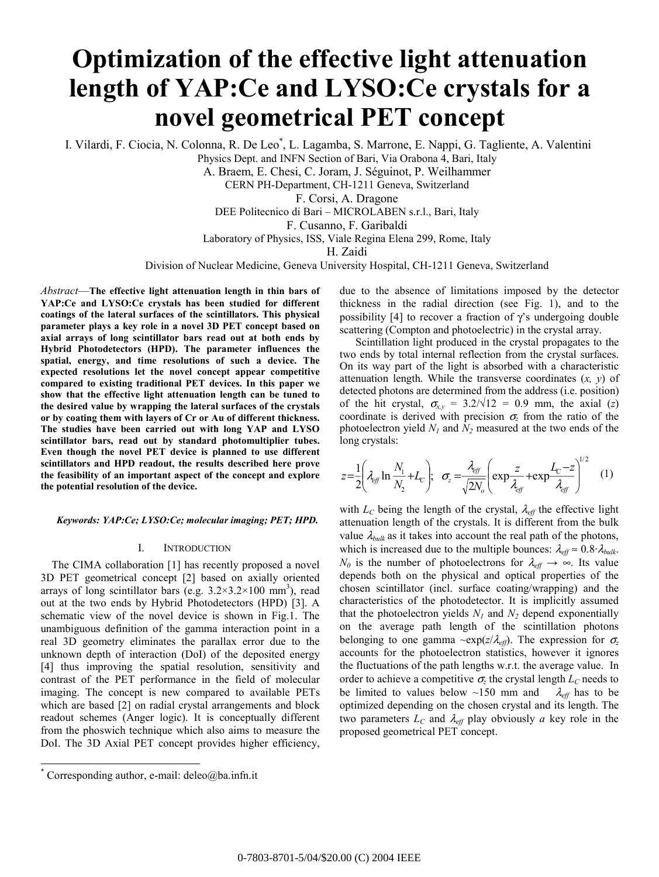# **Optimization of the effective light attenuation length of YAP:Ce and LYSO:Ce crystals for a novel geometrical PET concept**

I. Vilardi, F. Ciocia, N. Colonna, R. De Leo<sup>\*</sup>, L. Lagamba, S. Marrone, E. Nappi, G. Tagliente, A. Valentini

Physics Dept. and INFN Section of Bari, Via Orabona 4, Bari, Italy

A. Braem, E. Chesi, C. Joram, J. Séguinot, P. Weilhammer

CERN PH-Department, CH-1211 Geneva, Switzerland

F. Corsi, A. Dragone

DEE Politecnico di Bari – MICROLABEN s.r.l., Bari, Italy

F. Cusanno, F. Garibaldi

Laboratory of Physics, ISS, Viale Regina Elena 299, Rome, Italy

H. Zaidi

Division of Nuclear Medicine, Geneva University Hospital, CH-1211 Geneva, Switzerland

*Abstract*—**The effective light attenuation length in thin bars of YAP:Ce and LYSO:Ce crystals has been studied for different coatings of the lateral surfaces of the scintillators. This physical parameter plays a key role in a novel 3D PET concept based on axial arrays of long scintillator bars read out at both ends by Hybrid Photodetectors (HPD). The parameter influences the spatial, energy, and time resolutions of such a device. The expected resolutions let the novel concept appear competitive compared to existing traditional PET devices. In this paper we show that the effective light attenuation length can be tuned to the desired value by wrapping the lateral surfaces of the crystals or by coating them with layers of Cr or Au of different thickness. The studies have been carried out with long YAP and LYSO scintillator bars, read out by standard photomultiplier tubes. Even though the novel PET device is planned to use different scintillators and HPD readout, the results described here prove the feasibility of an important aspect of the concept and explore the potential resolution of the device.** 

## *Keywords: YAP:Ce; LYSO:Ce; molecular imaging; PET; HPD.*

## I. INTRODUCTION

 The CIMA collaboration [1] has recently proposed a novel 3D PET geometrical concept [2] based on axially oriented arrays of long scintillator bars (e.g.  $3.2 \times 3.2 \times 100$  mm<sup>3</sup>), read out at the two ends by Hybrid Photodetectors (HPD) [3]. A schematic view of the novel device is shown in Fig.1. The unambiguous definition of the gamma interaction point in a real 3D geometry eliminates the parallax error due to the unknown depth of interaction (DoI) of the deposited energy [4] thus improving the spatial resolution, sensitivity and contrast of the PET performance in the field of molecular imaging. The concept is new compared to available PETs which are based [2] on radial crystal arrangements and block readout schemes (Anger logic). It is conceptually different from the phoswich technique which also aims to measure the DoI. The 3D Axial PET concept provides higher efficiency,

l

due to the absence of limitations imposed by the detector thickness in the radial direction (see Fig. 1), and to the possibility [4] to recover a fraction of  $\gamma$ 's undergoing double scattering (Compton and photoelectric) in the crystal array.

Scintillation light produced in the crystal propagates to the two ends by total internal reflection from the crystal surfaces. On its way part of the light is absorbed with a characteristic attenuation length. While the transverse coordinates (*x, y*) of detected photons are determined from the address (i.e. position) of the hit crystal,  $\sigma_{x,y} = 3.2/\sqrt{12} = 0.9$  mm, the axial (*z*) coordinate is derived with precision  $\sigma$ <sub>z</sub> from the ratio of the photoelectron yield  $N_1$  and  $N_2$  measured at the two ends of the long crystals:

$$
z = \frac{1}{2} \left( \lambda_{\text{eff}} \ln \frac{N_1}{N_2} + L_c \right); \quad \sigma_z = \frac{\lambda_{\text{eff}}}{\sqrt{2N_o}} \left( \exp \frac{z}{\lambda_{\text{eff}}} + \exp \frac{L_c - z}{\lambda_{\text{eff}}} \right)^{1/2} \tag{1}
$$

with  $L_C$  being the length of the crystal,  $\lambda_{\text{eff}}$  the effective light attenuation length of the crystals. It is different from the bulk value  $\lambda_{bulk}$  as it takes into account the real path of the photons, which is increased due to the multiple bounces:  $\lambda_{\text{eff}} \approx 0.8 \cdot \lambda_{\text{bulk}}$ . *N<sub>0</sub>* is the number of photoelectrons for  $\lambda_{\text{eff}} \rightarrow \infty$ . Its value depends both on the physical and optical properties of the chosen scintillator (incl. surface coating/wrapping) and the characteristics of the photodetector. It is implicitly assumed that the photoelectron yields  $N_1$  and  $N_2$  depend exponentially on the average path length of the scintillation photons belonging to one gamma  $\exp(z/\lambda_{\text{eff}})$ . The expression for  $\sigma_z$ accounts for the photoelectron statistics, however it ignores the fluctuations of the path lengths w.r.t. the average value. In order to achieve a competitive  $\sigma$ <sub>z</sub> the crystal length  $L_C$  needs to be limited to values below ~150 mm and  $\lambda_{eff}$  has to be optimized depending on the chosen crystal and its length. The two parameters  $L_c$  and  $\lambda_{\text{eff}}$  play obviously *a* key role in the proposed geometrical PET concept.

<sup>\*</sup> Corresponding author, e-mail: deleo@ba.infn.it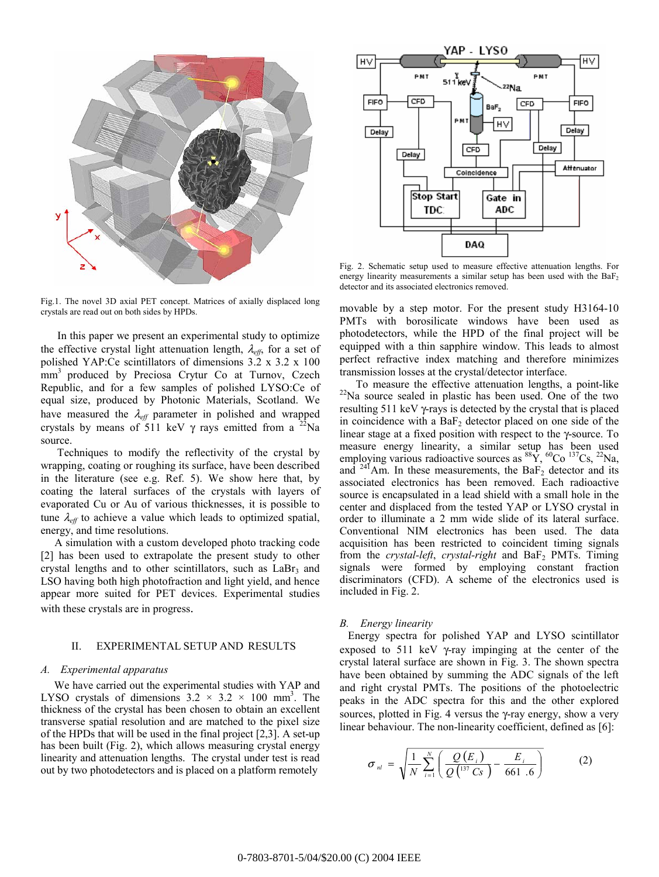

Fig.1. The novel 3D axial PET concept. Matrices of axially displaced long crystals are read out on both sides by HPDs.

 In this paper we present an experimental study to optimize the effective crystal light attenuation length, λ*eff*, for a set of polished YAP:Ce scintillators of dimensions 3.2 x 3.2 x 100 mm<sup>3</sup> produced by Preciosa Crytur Co at Turnov, Czech Republic, and for a few samples of polished LYSO:Ce of equal size, produced by Photonic Materials, Scotland. We have measured the  $\lambda_{\text{eff}}$  parameter in polished and wrapped crystals by means of 511 keV  $\gamma$  rays emitted from a <sup>22</sup>Na source.

 Techniques to modify the reflectivity of the crystal by wrapping, coating or roughing its surface, have been described in the literature (see e.g. Ref. 5). We show here that, by coating the lateral surfaces of the crystals with layers of evaporated Cu or Au of various thicknesses, it is possible to tune  $\lambda_{\text{eff}}$  to achieve a value which leads to optimized spatial, energy, and time resolutions.

 A simulation with a custom developed photo tracking code [2] has been used to extrapolate the present study to other crystal lengths and to other scintillators, such as  $LaBr<sub>3</sub>$  and LSO having both high photofraction and light yield, and hence appear more suited for PET devices. Experimental studies with these crystals are in progress.

## II. EXPERIMENTAL SETUP AND RESULTS

## *A. Experimental apparatus*

 We have carried out the experimental studies with YAP and LYSO crystals of dimensions  $3.2 \times 3.2 \times 100$  mm<sup>3</sup>. The thickness of the crystal has been chosen to obtain an excellent transverse spatial resolution and are matched to the pixel size of the HPDs that will be used in the final project [2,3]. A set-up has been built (Fig. 2), which allows measuring crystal energy linearity and attenuation lengths. The crystal under test is read out by two photodetectors and is placed on a platform remotely



Fig. 2. Schematic setup used to measure effective attenuation lengths. For energy linearity measurements a similar setup has been used with the  $BaF<sub>2</sub>$ detector and its associated electronics removed.

movable by a step motor. For the present study H3164-10 PMTs with borosilicate windows have been used as photodetectors, while the HPD of the final project will be equipped with a thin sapphire window. This leads to almost perfect refractive index matching and therefore minimizes transmission losses at the crystal/detector interface.

 To measure the effective attenuation lengths, a point-like <sup>22</sup>Na source sealed in plastic has been used. One of the two resulting 511 keV γ-rays is detected by the crystal that is placed in coincidence with a  $BaF<sub>2</sub>$  detector placed on one side of the linear stage at a fixed position with respect to the γ-source. To measure energy linearity, a similar setup has been used employing various radioactive sources as  ${}^{88}Y, {}^{60}Co, {}^{137}Cs, {}^{22}Na,$ and  $^{241}$ Am. In these measurements, the BaF<sub>2</sub> detector and its associated electronics has been removed. Each radioactive source is encapsulated in a lead shield with a small hole in the center and displaced from the tested YAP or LYSO crystal in order to illuminate a 2 mm wide slide of its lateral surface. Conventional NIM electronics has been used. The data acquisition has been restricted to coincident timing signals from the *crystal-left*, *crystal-right* and BaF<sub>2</sub> PMTs. Timing signals were formed by employing constant fraction discriminators (CFD). A scheme of the electronics used is included in Fig. 2.

#### *B. Energy linearity*

 Energy spectra for polished YAP and LYSO scintillator exposed to 511 keV  $\gamma$ -ray impinging at the center of the crystal lateral surface are shown in Fig. 3. The shown spectra have been obtained by summing the ADC signals of the left and right crystal PMTs. The positions of the photoelectric peaks in the ADC spectra for this and the other explored sources, plotted in Fig. 4 versus the  $\gamma$ -ray energy, show a very linear behaviour. The non-linearity coefficient, defined as [6]:

$$
\sigma_{nl} = \sqrt{\frac{1}{N} \sum_{i=1}^{N} \left( \frac{Q(E_i)}{Q^{\left(137 \text{ } CS\right)}} - \frac{E_i}{661 \text{ } .6} \right)}
$$
(2)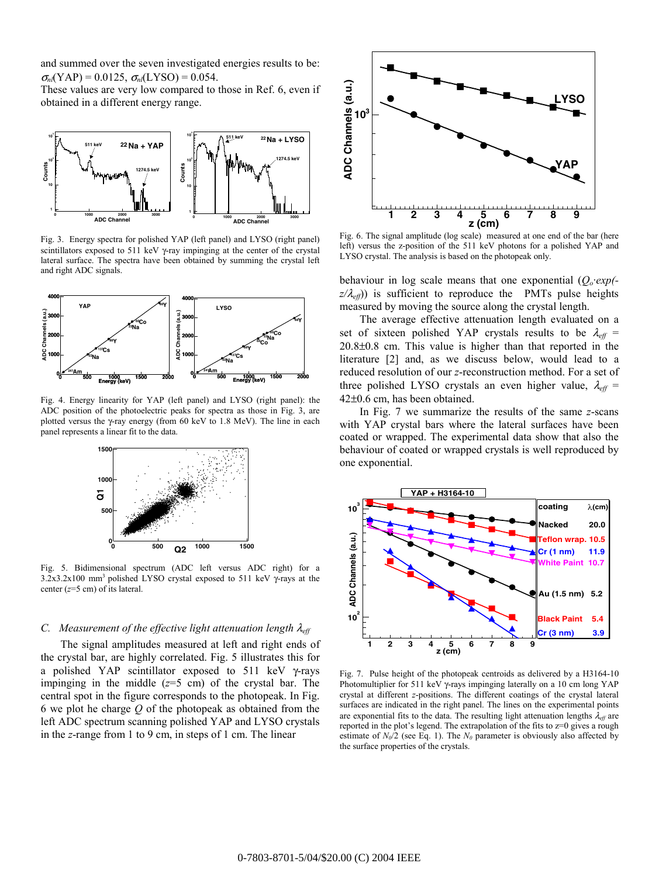and summed over the seven investigated energies results to be:  $\sigma_{nl}(YAP) = 0.0125$ ,  $\sigma_{nl}(LYSO) = 0.054$ .

These values are very low compared to those in Ref. 6, even if obtained in a different energy range.



Fig. 3. Energy spectra for polished YAP (left panel) and LYSO (right panel) scintillators exposed to 511 keV γ-ray impinging at the center of the crystal lateral surface. The spectra have been obtained by summing the crystal left and right ADC signals.



Fig. 4. Energy linearity for YAP (left panel) and LYSO (right panel): the ADC position of the photoelectric peaks for spectra as those in Fig. 3, are plotted versus the γ-ray energy (from 60 keV to 1.8 MeV). The line in each panel represents a linear fit to the data.



Fig. 5. Bidimensional spectrum (ADC left versus ADC right) for a  $3.2x3.2x100$  mm<sup>3</sup> polished LYSO crystal exposed to 511 keV  $\gamma$ -rays at the center (*z*=5 cm) of its lateral.

# *C. Measurement of the effective light attenuation length* λ*eff*

The signal amplitudes measured at left and right ends of the crystal bar, are highly correlated. Fig. 5 illustrates this for a polished YAP scintillator exposed to 511 keV γ-rays impinging in the middle  $(z=5 \text{ cm})$  of the crystal bar. The central spot in the figure corresponds to the photopeak. In Fig. 6 we plot he charge *Q* of the photopeak as obtained from the left ADC spectrum scanning polished YAP and LYSO crystals in the *z*-range from 1 to 9 cm, in steps of 1 cm. The linear



Fig. 6. The signal amplitude (log scale) measured at one end of the bar (here left) versus the z-position of the 511 keV photons for a polished YAP and LYSO crystal. The analysis is based on the photopeak only.

behaviour in log scale means that one exponential  $(Q_0 \exp(-\epsilon))$  $z/\lambda_{\text{eff}}$ ) is sufficient to reproduce the PMTs pulse heights measured by moving the source along the crystal length.

The average effective attenuation length evaluated on a set of sixteen polished YAP crystals results to be  $\lambda_{\text{eff}}$  = 20.8±0.8 cm. This value is higher than that reported in the literature [2] and, as we discuss below, would lead to a reduced resolution of our *z*-reconstruction method. For a set of three polished LYSO crystals an even higher value,  $\lambda_{\text{eff}}$  = 42±0.6 cm, has been obtained.

In Fig. 7 we summarize the results of the same *z*-scans with YAP crystal bars where the lateral surfaces have been coated or wrapped. The experimental data show that also the behaviour of coated or wrapped crystals is well reproduced by one exponential.



Fig. 7. Pulse height of the photopeak centroids as delivered by a H3164-10 Photomultiplier for 511 keV γ-rays impinging laterally on a 10 cm long YAP crystal at different *z*-positions. The different coatings of the crystal lateral surfaces are indicated in the right panel. The lines on the experimental points are exponential fits to the data. The resulting light attenuation lengths  $\lambda_{\text{eff}}$  are reported in the plot's legend. The extrapolation of the fits to z=0 gives a rough estimate of  $N_0/2$  (see Eq. 1). The  $N_0$  parameter is obviously also affected by the surface properties of the crystals.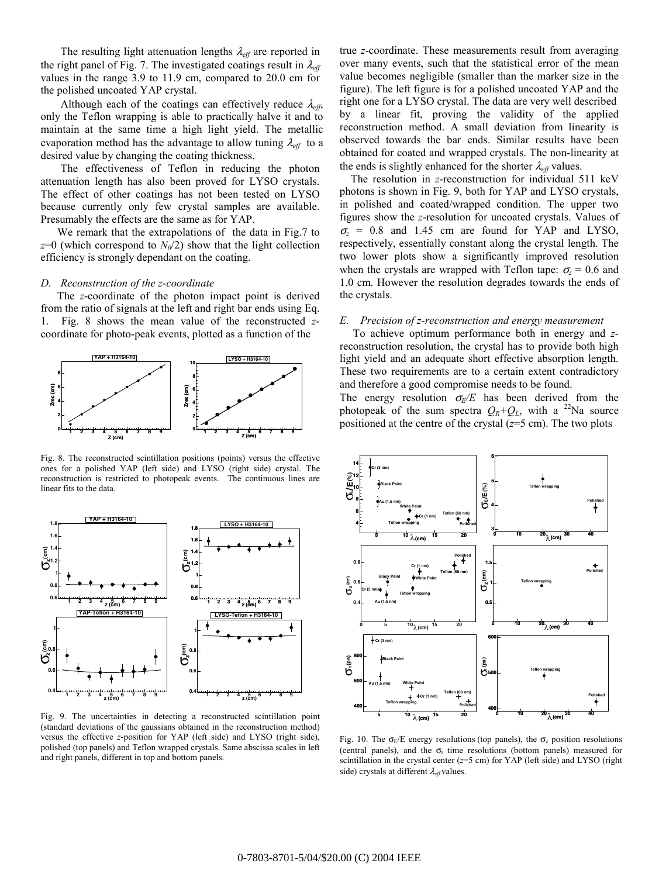The resulting light attenuation lengths  $\lambda_{\text{eff}}$  are reported in the right panel of Fig. 7. The investigated coatings result in  $\lambda_{\text{eff}}$ values in the range 3.9 to 11.9 cm, compared to 20.0 cm for the polished uncoated YAP crystal.

Although each of the coatings can effectively reduce  $\lambda_{eff}$ , only the Teflon wrapping is able to practically halve it and to maintain at the same time a high light yield. The metallic evaporation method has the advantage to allow tuning  $\lambda_{\text{eff}}$  to a desired value by changing the coating thickness.

The effectiveness of Teflon in reducing the photon attenuation length has also been proved for LYSO crystals. The effect of other coatings has not been tested on LYSO because currently only few crystal samples are available. Presumably the effects are the same as for YAP.

 We remark that the extrapolations of the data in Fig.7 to  $z=0$  (which correspond to  $N_0/2$ ) show that the light collection efficiency is strongly dependant on the coating.

#### *D. Reconstruction of the z-coordinate*

 The *z*-coordinate of the photon impact point is derived from the ratio of signals at the left and right bar ends using Eq. 1. Fig. 8 shows the mean value of the reconstructed *z*coordinate for photo-peak events, plotted as a function of the



Fig. 8. The reconstructed scintillation positions (points) versus the effective ones for a polished YAP (left side) and LYSO (right side) crystal. The reconstruction is restricted to photopeak events. The continuous lines are linear fits to the data.



Fig. 9. The uncertainties in detecting a reconstructed scintillation point (standard deviations of the gaussians obtained in the reconstruction method) versus the effective *z*-position for YAP (left side) and LYSO (right side), polished (top panels) and Teflon wrapped crystals. Same abscissa scales in left and right panels, different in top and bottom panels.

true *z*-coordinate. These measurements result from averaging over many events, such that the statistical error of the mean value becomes negligible (smaller than the marker size in the figure). The left figure is for a polished uncoated YAP and the right one for a LYSO crystal. The data are very well described by a linear fit, proving the validity of the applied reconstruction method. A small deviation from linearity is observed towards the bar ends. Similar results have been obtained for coated and wrapped crystals. The non-linearity at the ends is slightly enhanced for the shorter  $\lambda_{\text{eff}}$  values.

 The resolution in *z*-reconstruction for individual 511 keV photons is shown in Fig. 9, both for YAP and LYSO crystals, in polished and coated/wrapped condition. The upper two figures show the *z*-resolution for uncoated crystals. Values of  $\sigma$ <sub>z</sub> = 0.8 and 1.45 cm are found for YAP and LYSO, respectively, essentially constant along the crystal length. The two lower plots show a significantly improved resolution when the crystals are wrapped with Teflon tape:  $\sigma = 0.6$  and 1.0 cm. However the resolution degrades towards the ends of the crystals.

#### *E. Precision of z-reconstruction and energy measurement*

 To achieve optimum performance both in energy and *z*reconstruction resolution, the crystal has to provide both high light yield and an adequate short effective absorption length. These two requirements are to a certain extent contradictory and therefore a good compromise needs to be found.

The energy resolution  $\sigma_F/E$  has been derived from the photopeak of the sum spectra  $Q_R+Q_L$ , with a <sup>22</sup>Na source positioned at the centre of the crystal (*z*=5 cm). The two plots



Fig. 10. The  $\sigma_F/E$  energy resolutions (top panels), the  $\sigma_z$  position resolutions (central panels), and the  $\sigma_t$  time resolutions (bottom panels) measured for scintillation in the crystal center (*z*=5 cm) for YAP (left side) and LYSO (right side) crystals at different λ*eff* values.